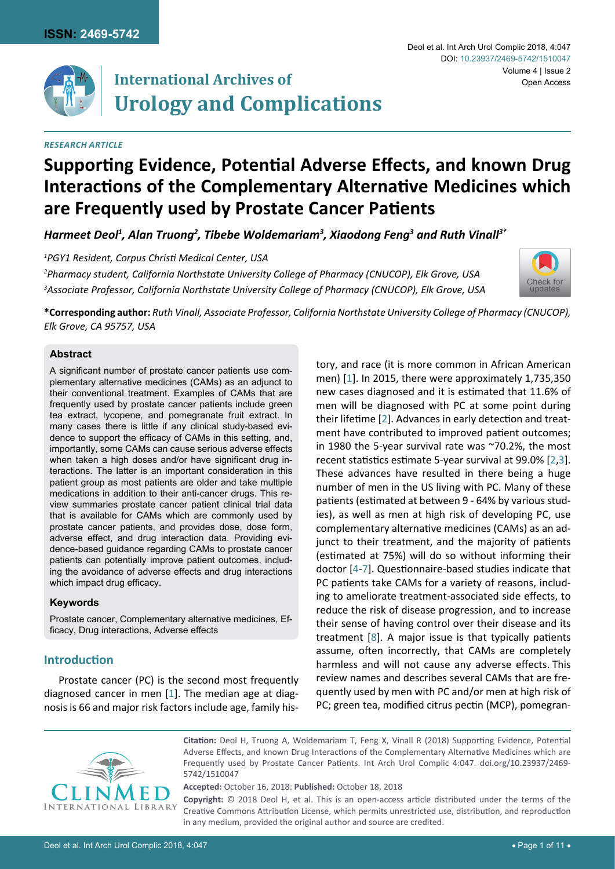

# **International Archives of Urology and Complications**

#### *RESEARCH ARTICLE*

#### Deol et al. Int Arch Urol Complic 2018, 4:047 Volume 4 | Issue 2 DOI: [10.23937/2469-5742/1510047](https://doi.org/10.23937/2469-5742/1510047) Open Access

# **Supporting Evidence, Potential Adverse Effects, and known Drug Interactions of the Complementary Alternative Medicines which are Frequently used by Prostate Cancer Patients**

*Harmeet Deol1 , Alan Truong2 , Tibebe Woldemariam3 , Xiaodong Feng3 and Ruth Vinall3\**

*1 PGY1 Resident, Corpus Christi Medical Center, USA*

*2 Pharmacy student, California Northstate University College of Pharmacy (CNUCOP), Elk Grove, USA 3 Associate Professor, California Northstate University College of Pharmacy (CNUCOP), Elk Grove, USA*



**\*Corresponding author:** *Ruth Vinall, Associate Professor, California Northstate University College of Pharmacy (CNUCOP), Elk Grove, CA 95757, USA* 

#### **Abstract**

A significant number of prostate cancer patients use complementary alternative medicines (CAMs) as an adjunct to their conventional treatment. Examples of CAMs that are frequently used by prostate cancer patients include green tea extract, lycopene, and pomegranate fruit extract. In many cases there is little if any clinical study-based evidence to support the efficacy of CAMs in this setting, and, importantly, some CAMs can cause serious adverse effects when taken a high doses and/or have significant drug interactions. The latter is an important consideration in this patient group as most patients are older and take multiple medications in addition to their anti-cancer drugs. This review summaries prostate cancer patient clinical trial data that is available for CAMs which are commonly used by prostate cancer patients, and provides dose, dose form, adverse effect, and drug interaction data. Providing evidence-based guidance regarding CAMs to prostate cancer patients can potentially improve patient outcomes, including the avoidance of adverse effects and drug interactions which impact drug efficacy.

#### **Keywords**

Prostate cancer, Complementary alternative medicines, Efficacy, Drug interactions, Adverse effects

## **Introduction**

Prostate cancer (PC) is the second most frequently diagnosed cancer in men [[1](#page-7-0)]. The median age at diagnosis is 66 and major risk factors include age, family history, and race (it is more common in African American men) [[1](#page-7-0)]. In 2015, there were approximately 1,735,350 new cases diagnosed and it is estimated that 11.6% of men will be diagnosed with PC at some point during their lifetime [[2](#page-7-1)]. Advances in early detection and treatment have contributed to improved patient outcomes; in 1980 the 5-year survival rate was ~70.2%, the most recent statistics estimate 5-year survival at 99.0% [[2](#page-7-1),[3\]](#page-7-2). These advances have resulted in there being a huge number of men in the US living with PC. Many of these patients (estimated at between 9 - 64% by various studies), as well as men at high risk of developing PC, use complementary alternative medicines (CAMs) as an adjunct to their treatment, and the majority of patients (estimated at 75%) will do so without informing their doctor [[4](#page-7-3)-[7](#page-7-4)]. Questionnaire-based studies indicate that PC patients take CAMs for a variety of reasons, including to ameliorate treatment-associated side effects, to reduce the risk of disease progression, and to increase their sense of having control over their disease and its treatment [[8](#page-7-5)]. A major issue is that typically patients assume, often incorrectly, that CAMs are completely harmless and will not cause any adverse effects. This review names and describes several CAMs that are frequently used by men with PC and/or men at high risk of PC; green tea, modified citrus pectin (MCP), pomegran-



**Citation:** Deol H, Truong A, Woldemariam T, Feng X, Vinall R (2018) Supporting Evidence, Potential Adverse Effects, and known Drug Interactions of the Complementary Alternative Medicines which are Frequently used by Prostate Cancer Patients. Int Arch Urol Complic 4:047. [doi.org/10.23937/2469-](https://doi.org/10.23937/2469-5742/1510047) [5742/1510047](https://doi.org/10.23937/2469-5742/1510047)

**Accepted:** October 16, 2018: **Published:** October 18, 2018

**Copyright:** © 2018 Deol H, et al. This is an open-access article distributed under the terms of the Creative Commons Attribution License, which permits unrestricted use, distribution, and reproduction in any medium, provided the original author and source are credited.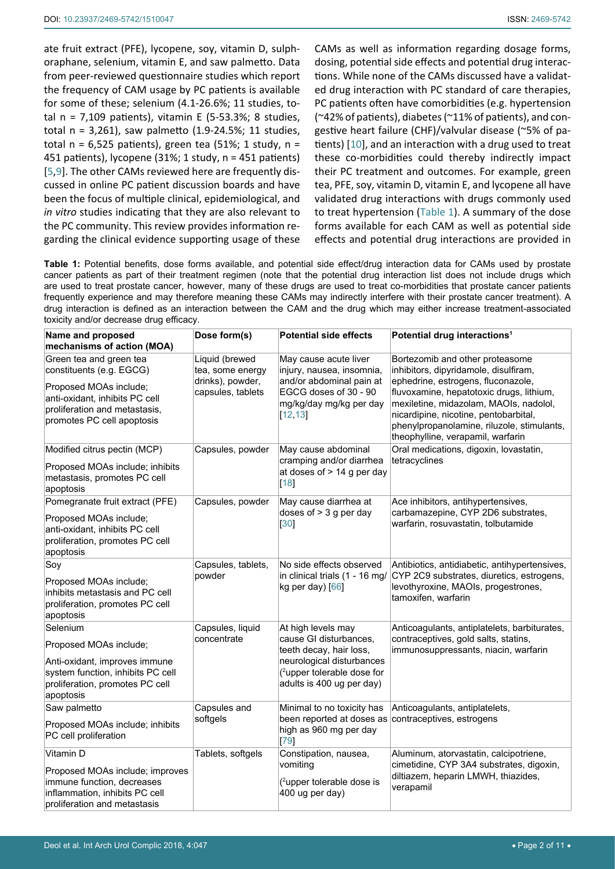ate fruit extract (PFE), lycopene, soy, vitamin D, sulphoraphane, selenium, vitamin E, and saw palmetto. Data from peer-reviewed questionnaire studies which report the frequency of CAM usage by PC patients is available for some of these; selenium (4.1-26.6%; 11 studies, total  $n = 7,109$  patients), vitamin E (5-53.3%; 8 studies, total n = 3,261), saw palmetto (1.9-24.5%; 11 studies, total  $n = 6.525$  patients), green tea (51%; 1 study,  $n =$ 451 patients), lycopene (31%; 1 study, n = 451 patients) [[5](#page-7-7),[9\]](#page-7-8). The other CAMs reviewed here are frequently discussed in online PC patient discussion boards and have been the focus of multiple clinical, epidemiological, and *in vitro* studies indicating that they are also relevant to the PC community. This review provides information regarding the clinical evidence supporting usage of these

CAMs as well as information regarding dosage forms, dosing, potential side effects and potential drug interactions. While none of the CAMs discussed have a validated drug interaction with PC standard of care therapies, PC patients often have comorbidities (e.g. hypertension (~42% of patients), diabetes (~11% of patients), and congestive heart failure (CHF)/valvular disease (~5% of patients) [[10](#page-7-6)], and an interaction with a drug used to treat these co-morbidities could thereby indirectly impact their PC treatment and outcomes. For example, green tea, PFE, soy, vitamin D, vitamin E, and lycopene all have validated drug interactions with drugs commonly used to treat hypertension ([Table 1\)](#page-1-0). A summary of the dose forms available for each CAM as well as potential side effects and potential drug interactions are provided in

<span id="page-1-0"></span>**Table 1:** Potential benefits, dose forms available, and potential side effect/drug interaction data for CAMs used by prostate cancer patients as part of their treatment regimen (note that the potential drug interaction list does not include drugs which are used to treat prostate cancer, however, many of these drugs are used to treat co-morbidities that prostate cancer patients frequently experience and may therefore meaning these CAMs may indirectly interfere with their prostate cancer treatment). A drug interaction is defined as an interaction between the CAM and the drug which may either increase treatment-associated toxicity and/or decrease drug efficacy.

| Name and proposed<br>mechanisms of action (MOA)                                                                                                                                | Dose form(s)                                                                | <b>Potential side effects</b>                                                                                                                                                | Potential drug interactions <sup>1</sup>                                                                                                                                                                                                                                                                                         |
|--------------------------------------------------------------------------------------------------------------------------------------------------------------------------------|-----------------------------------------------------------------------------|------------------------------------------------------------------------------------------------------------------------------------------------------------------------------|----------------------------------------------------------------------------------------------------------------------------------------------------------------------------------------------------------------------------------------------------------------------------------------------------------------------------------|
| Green tea and green tea<br>constituents (e.g. EGCG)<br>Proposed MOAs include;<br>anti-oxidant, inhibits PC cell<br>proliferation and metastasis,<br>promotes PC cell apoptosis | Liquid (brewed<br>tea, some energy<br>drinks), powder,<br>capsules, tablets | May cause acute liver<br>injury, nausea, insomnia,<br>and/or abdominal pain at<br>EGCG doses of 30 - 90<br>mg/kg/day mg/kg per day<br>[12, 13]                               | Bortezomib and other proteasome<br>inhibitors, dipyridamole, disulfiram,<br>ephedrine, estrogens, fluconazole,<br>fluvoxamine, hepatotoxic drugs, lithium,<br>mexiletine, midazolam, MAOIs, nadolol,<br>nicardipine, nicotine, pentobarbital,<br>phenylpropanolamine, riluzole, stimulants,<br>theophylline, verapamil, warfarin |
| Modified citrus pectin (MCP)<br>Proposed MOAs include; inhibits<br>metastasis, promotes PC cell<br>apoptosis                                                                   | Capsules, powder                                                            | May cause abdominal<br>cramping and/or diarrhea<br>at doses of $> 14$ g per day<br>$[18]$                                                                                    | Oral medications, digoxin, lovastatin,<br>tetracyclines                                                                                                                                                                                                                                                                          |
| Pomegranate fruit extract (PFE)<br>Proposed MOAs include;<br>anti-oxidant, inhibits PC cell<br>proliferation, promotes PC cell<br>apoptosis                                    | Capsules, powder                                                            | May cause diarrhea at<br>doses of $>$ 3 g per day<br>[30]                                                                                                                    | Ace inhibitors, antihypertensives,<br>carbamazepine, CYP 2D6 substrates,<br>warfarin, rosuvastatin, tolbutamide                                                                                                                                                                                                                  |
| Soy<br>Proposed MOAs include;<br>inhibits metastasis and PC cell<br>proliferation, promotes PC cell<br>apoptosis                                                               | Capsules, tablets,<br>powder                                                | No side effects observed<br>in clinical trials (1 - 16 mg/<br>kg per day) [66]                                                                                               | Antibiotics, antidiabetic, antihypertensives,<br>CYP 2C9 substrates, diuretics, estrogens,<br>levothyroxine, MAOIs, progestrones,<br>tamoxifen, warfarin                                                                                                                                                                         |
| Selenium<br>Proposed MOAs include;<br>Anti-oxidant, improves immune<br>system function, inhibits PC cell<br>proliferation, promotes PC cell<br>apoptosis                       | Capsules, liquid<br>concentrate                                             | At high levels may<br>cause GI disturbances,<br>teeth decay, hair loss,<br>neurological disturbances<br>( <sup>2</sup> upper tolerable dose for<br>adults is 400 ug per day) | Anticoagulants, antiplatelets, barbiturates,<br>contraceptives, gold salts, statins,<br>immunosuppressants, niacin, warfarin                                                                                                                                                                                                     |
| Saw palmetto<br>Proposed MOAs include; inhibits<br>PC cell proliferation                                                                                                       | Capsules and<br>softgels                                                    | Minimal to no toxicity has<br>been reported at doses as contraceptives, estrogens<br>high as 960 mg per day<br>[79]                                                          | Anticoagulants, antiplatelets,                                                                                                                                                                                                                                                                                                   |
| Vitamin D<br>Proposed MOAs include; improves<br>immune function, decreases<br>inflammation, inhibits PC cell<br>proliferation and metastasis                                   | Tablets, softgels                                                           | Constipation, nausea,<br>vomiting<br>( <sup>2</sup> upper tolerable dose is<br>400 ug per day)                                                                               | Aluminum, atorvastatin, calcipotriene,<br>cimetidine, CYP 3A4 substrates, digoxin,<br>diltiazem, heparin LMWH, thiazides,<br>verapamil                                                                                                                                                                                           |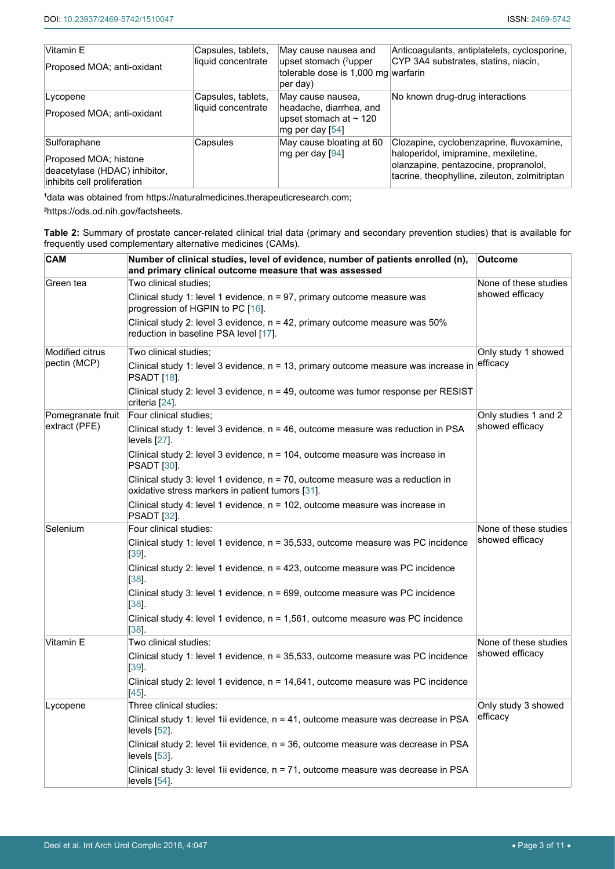| Vitamin E<br>Proposed MOA; anti-oxidant                                                               | Capsules, tablets,<br>liquid concentrate | May cause nausea and<br>upset stomach (2upper<br>tolerable dose is 1,000 mg warfarin<br>per day) | Anticoagulants, antiplatelets, cyclosporine,<br>CYP 3A4 substrates, statins, niacin,                                                                                       |
|-------------------------------------------------------------------------------------------------------|------------------------------------------|--------------------------------------------------------------------------------------------------|----------------------------------------------------------------------------------------------------------------------------------------------------------------------------|
| Lycopene<br>Proposed MOA; anti-oxidant                                                                | Capsules, tablets,<br>liquid concentrate | May cause nausea.<br>headache, diarrhea, and<br>upset stomach at $\sim$ 120<br>mg per day $[54]$ | No known drug-drug interactions                                                                                                                                            |
| Sulforaphane<br>Proposed MOA; histone<br>deacetylase (HDAC) inhibitor,<br>inhibits cell proliferation | Capsules                                 | May cause bloating at 60<br>mg per day [94]                                                      | Clozapine, cyclobenzaprine, fluvoxamine,<br>haloperidol, imipramine, mexiletine,<br>olanzapine, pentazocine, propranolol,<br>tacrine, theophylline, zileuton, zolmitriptan |

**1** data was obtained from<https://naturalmedicines.therapeuticresearch.com>;

**2** https://ods.od.nih.gov/factsheets.

<span id="page-2-0"></span>**Table 2:** Summary of prostate cancer-related clinical trial data (primary and secondary prevention studies) that is available for frequently used complementary alternative medicines (CAMs).

| <b>CAM</b>                             | Number of clinical studies, level of evidence, number of patients enrolled (n),<br>and primary clinical outcome measure that was assessed | <b>Outcome</b>        |
|----------------------------------------|-------------------------------------------------------------------------------------------------------------------------------------------|-----------------------|
| Green tea                              | Two clinical studies;                                                                                                                     | None of these studies |
|                                        | Clinical study 1: level 1 evidence, $n = 97$ , primary outcome measure was<br>progression of HGPIN to PC [16].                            | showed efficacy       |
|                                        | Clinical study 2: level 3 evidence, n = 42, primary outcome measure was 50%<br>reduction in baseline PSA level [17].                      |                       |
| <b>Modified citrus</b><br>pectin (MCP) | Two clinical studies;                                                                                                                     | Only study 1 showed   |
|                                        | Clinical study 1: level 3 evidence, n = 13, primary outcome measure was increase in<br>PSADT [18].                                        | efficacy              |
|                                        | Clinical study 2: level 3 evidence, $n = 49$ , outcome was tumor response per RESIST<br>criteria [24].                                    |                       |
| Pomegranate fruit                      | Four clinical studies;                                                                                                                    | Only studies 1 and 2  |
| extract (PFE)                          | Clinical study 1: level 3 evidence, $n = 46$ , outcome measure was reduction in PSA<br>levels [27].                                       | showed efficacy       |
|                                        | Clinical study 2: level 3 evidence, $n = 104$ , outcome measure was increase in<br><b>PSADT</b> [30].                                     |                       |
|                                        | Clinical study 3: level 1 evidence, $n = 70$ , outcome measure was a reduction in<br>oxidative stress markers in patient tumors [31].     |                       |
|                                        | Clinical study 4: level 1 evidence, $n = 102$ , outcome measure was increase in<br><b>PSADT</b> [32].                                     |                       |
| Selenium                               | Four clinical studies:                                                                                                                    | None of these studies |
|                                        | Clinical study 1: level 1 evidence, n = 35,533, outcome measure was PC incidence<br>$[39]$                                                | showed efficacy       |
|                                        | Clinical study 2: level 1 evidence, n = 423, outcome measure was PC incidence<br>$[38]$                                                   |                       |
|                                        | Clinical study 3: level 1 evidence, n = 699, outcome measure was PC incidence<br>$[38]$ .                                                 |                       |
|                                        | Clinical study 4: level 1 evidence, n = 1,561, outcome measure was PC incidence<br>[38].                                                  |                       |
| Vitamin E                              | Two clinical studies:                                                                                                                     | None of these studies |
|                                        | Clinical study 1: level 1 evidence, n = 35,533, outcome measure was PC incidence<br> 39                                                   | showed efficacy       |
|                                        | Clinical study 2: level 1 evidence, $n = 14,641$ , outcome measure was PC incidence<br>[45]                                               |                       |
| Lycopene                               | Three clinical studies:                                                                                                                   | Only study 3 showed   |
|                                        | Clinical study 1: level 1ii evidence, n = 41, outcome measure was decrease in PSA<br>levels [52].                                         | efficacy              |
|                                        | Clinical study 2: level 1ii evidence, n = 36, outcome measure was decrease in PSA<br>levels [53].                                         |                       |
|                                        | Clinical study 3: level 1ii evidence, n = 71, outcome measure was decrease in PSA<br>levels [54].                                         |                       |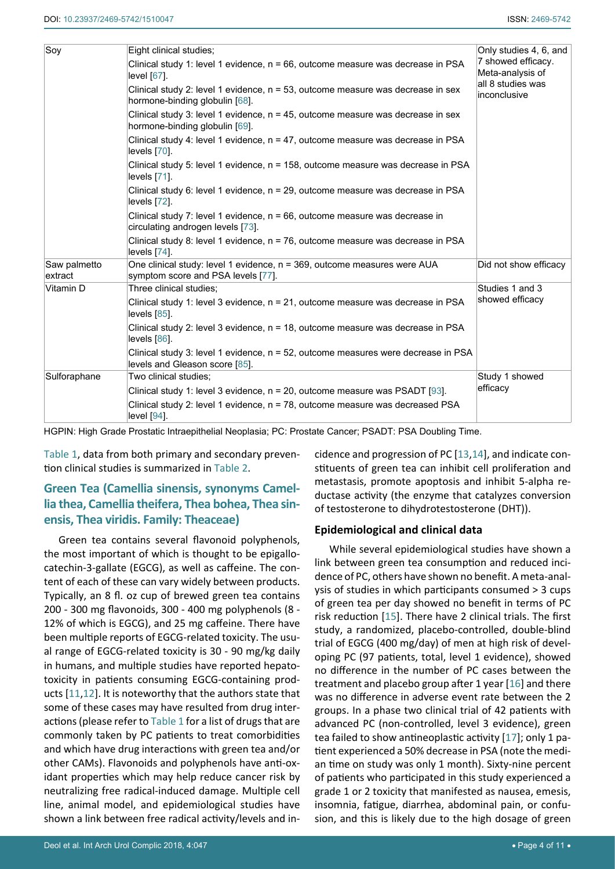| Soy                     | Eight clinical studies;                                                                                                | Only studies 4, 6, and                 |  |  |
|-------------------------|------------------------------------------------------------------------------------------------------------------------|----------------------------------------|--|--|
|                         | Clinical study 1: level 1 evidence, $n = 66$ , outcome measure was decrease in PSA<br>$level [67]$ .                   | 7 showed efficacy.<br>Meta-analysis of |  |  |
|                         | Clinical study 2: level 1 evidence, n = 53, outcome measure was decrease in sex<br>hormone-binding globulin [68].      | all 8 studies was<br>inconclusive      |  |  |
|                         | Clinical study 3: level 1 evidence, $n = 45$ , outcome measure was decrease in sex<br>hormone-binding globulin [69].   |                                        |  |  |
|                         | Clinical study 4: level 1 evidence, $n = 47$ , outcome measure was decrease in PSA<br>$levels$ $[70]$ .                |                                        |  |  |
|                         | Clinical study 5: level 1 evidence, n = 158, outcome measure was decrease in PSA<br>levels $[71]$ .                    |                                        |  |  |
|                         | Clinical study 6: level 1 evidence, n = 29, outcome measure was decrease in PSA<br>levels [72].                        |                                        |  |  |
|                         | Clinical study 7: level 1 evidence, $n = 66$ , outcome measure was decrease in<br>circulating androgen levels [73].    |                                        |  |  |
|                         | Clinical study 8: level 1 evidence, n = 76, outcome measure was decrease in PSA<br>levels [74].                        |                                        |  |  |
| Saw palmetto<br>extract | One clinical study: level 1 evidence, n = 369, outcome measures were AUA<br>symptom score and PSA levels [77].         | Did not show efficacy                  |  |  |
| Vitamin D               | Three clinical studies;                                                                                                | Studies 1 and 3                        |  |  |
|                         | Clinical study 1: level 3 evidence, n = 21, outcome measure was decrease in PSA<br>levels [85].                        | showed efficacy                        |  |  |
|                         | Clinical study 2: level 3 evidence, n = 18, outcome measure was decrease in PSA<br>levels [86].                        |                                        |  |  |
|                         | Clinical study 3: level 1 evidence, $n = 52$ , outcome measures were decrease in PSA<br>levels and Gleason score [85]. |                                        |  |  |
| Sulforaphane            | Two clinical studies;                                                                                                  | Study 1 showed                         |  |  |
|                         | Clinical study 1: level 3 evidence, $n = 20$ , outcome measure was PSADT [93].                                         | efficacy                               |  |  |
|                         | Clinical study 2: level 1 evidence, n = 78, outcome measure was decreased PSA<br>level [94].                           |                                        |  |  |

HGPIN: High Grade Prostatic Intraepithelial Neoplasia; PC: Prostate Cancer; PSADT: PSA Doubling Time.

[Table 1](#page-1-0), data from both primary and secondary prevention clinical studies is summarized in [Table 2.](#page-2-0)

# **Green Tea (Camellia sinensis, synonyms Camellia thea, Camellia theifera, Thea bohea, Thea sinensis, Thea viridis. Family: Theaceae)**

Green tea contains several flavonoid polyphenols, the most important of which is thought to be epigallocatechin-3-gallate (EGCG), as well as caffeine. The content of each of these can vary widely between products. Typically, an 8 fl. oz cup of brewed green tea contains 200 - 300 mg flavonoids, 300 - 400 mg polyphenols (8 - 12% of which is EGCG), and 25 mg caffeine. There have been multiple reports of EGCG-related toxicity. The usual range of EGCG-related toxicity is 30 - 90 mg/kg daily in humans, and multiple studies have reported hepatotoxicity in patients consuming EGCG-containing products [[11](#page-7-16)[,12](#page-7-9)]. It is noteworthy that the authors state that some of these cases may have resulted from drug interactions (please refer to [Table 1](#page-1-0) for a list of drugs that are commonly taken by PC patients to treat comorbidities and which have drug interactions with green tea and/or other CAMs). Flavonoids and polyphenols have anti-oxidant properties which may help reduce cancer risk by neutralizing free radical-induced damage. Multiple cell line, animal model, and epidemiological studies have shown a link between free radical activity/levels and incidence and progression of PC [\[13](#page-7-10),[14](#page-7-14)], and indicate constituents of green tea can inhibit cell proliferation and metastasis, promote apoptosis and inhibit 5-alpha reductase activity (the enzyme that catalyzes conversion of testosterone to dihydrotestosterone (DHT)).

## **Epidemiological and clinical data**

While several epidemiological studies have shown a link between green tea consumption and reduced incidence of PC, others have shown no benefit. A meta-analysis of studies in which participants consumed > 3 cups of green tea per day showed no benefit in terms of PC risk reduction [[15](#page-7-15)]. There have 2 clinical trials. The first study, a randomized, placebo-controlled, double-blind trial of EGCG (400 mg/day) of men at high risk of developing PC (97 patients, total, level 1 evidence), showed no difference in the number of PC cases between the treatment and placebo group after 1 year [\[16](#page-7-12)] and there was no difference in adverse event rate between the 2 groups. In a phase two clinical trial of 42 patients with advanced PC (non-controlled, level 3 evidence), green tea failed to show antineoplastic activity [\[17\]](#page-7-13); only 1 patient experienced a 50% decrease in PSA (note the median time on study was only 1 month). Sixty-nine percent of patients who participated in this study experienced a grade 1 or 2 toxicity that manifested as nausea, emesis, insomnia, fatigue, diarrhea, abdominal pain, or confusion, and this is likely due to the high dosage of green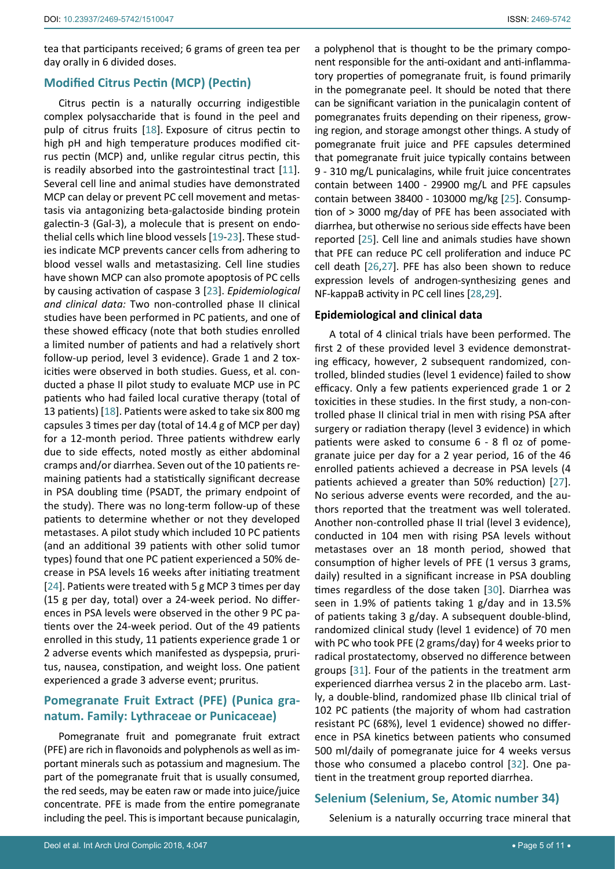tea that participants received; 6 grams of green tea per day orally in 6 divided doses.

#### **Modified Citrus Pectin (MCP) (Pectin)**

Citrus pectin is a naturally occurring indigestible complex polysaccharide that is found in the peel and pulp of citrus fruits [[18](#page-7-11)]. Exposure of citrus pectin to high pH and high temperature produces modified citrus pectin (MCP) and, unlike regular citrus pectin, this is readily absorbed into the gastrointestinal tract [[11](#page-7-16)]. Several cell line and animal studies have demonstrated MCP can delay or prevent PC cell movement and metastasis via antagonizing beta-galactoside binding protein galectin-3 (Gal-3), a molecule that is present on endothelial cells which line blood vessels [\[19](#page-7-17)-[23](#page-8-13)]. These studies indicate MCP prevents cancer cells from adhering to blood vessel walls and metastasizing. Cell line studies have shown MCP can also promote apoptosis of PC cells by causing activation of caspase 3 [\[23](#page-8-13)]. *Epidemiological and clinical data:* Two non-controlled phase II clinical studies have been performed in PC patients, and one of these showed efficacy (note that both studies enrolled a limited number of patients and had a relatively short follow-up period, level 3 evidence). Grade 1 and 2 toxicities were observed in both studies. Guess, et al. conducted a phase II pilot study to evaluate MCP use in PC patients who had failed local curative therapy (total of 13 patients) [[18](#page-7-11)]. Patients were asked to take six 800 mg capsules 3 times per day (total of 14.4 g of MCP per day) for a 12-month period. Three patients withdrew early due to side effects, noted mostly as either abdominal cramps and/or diarrhea. Seven out of the 10 patients remaining patients had a statistically significant decrease in PSA doubling time (PSADT, the primary endpoint of the study). There was no long-term follow-up of these patients to determine whether or not they developed metastases. A pilot study which included 10 PC patients (and an additional 39 patients with other solid tumor types) found that one PC patient experienced a 50% decrease in PSA levels 16 weeks after initiating treatment [[24](#page-8-1)]. Patients were treated with 5 g MCP 3 times per day (15 g per day, total) over a 24-week period. No differences in PSA levels were observed in the other 9 PC patients over the 24-week period. Out of the 49 patients enrolled in this study, 11 patients experience grade 1 or 2 adverse events which manifested as dyspepsia, pruritus, nausea, constipation, and weight loss. One patient experienced a grade 3 adverse event; pruritus.

# **Pomegranate Fruit Extract (PFE) (Punica granatum. Family: Lythraceae or Punicaceae)**

Pomegranate fruit and pomegranate fruit extract (PFE) are rich in flavonoids and polyphenols as well as important minerals such as potassium and magnesium. The part of the pomegranate fruit that is usually consumed, the red seeds, may be eaten raw or made into juice/juice concentrate. PFE is made from the entire pomegranate including the peel. This is important because punicalagin,

a polyphenol that is thought to be the primary component responsible for the anti-oxidant and anti-inflammatory properties of pomegranate fruit, is found primarily in the pomegranate peel. It should be noted that there can be significant variation in the punicalagin content of pomegranates fruits depending on their ripeness, growing region, and storage amongst other things. A study of pomegranate fruit juice and PFE capsules determined that pomegranate fruit juice typically contains between 9 - 310 mg/L punicalagins, while fruit juice concentrates contain between 1400 - 29900 mg/L and PFE capsules contain between 38400 - 103000 mg/kg [[25](#page-8-9)]. Consumption of > 3000 mg/day of PFE has been associated with diarrhea, but otherwise no serious side effects have been reported [[25](#page-8-9)]. Cell line and animals studies have shown that PFE can reduce PC cell proliferation and induce PC cell death [\[26](#page-8-10),[27](#page-8-2)]. PFE has also been shown to reduce expression levels of androgen-synthesizing genes and NF-kappaB activity in PC cell lines [[28](#page-8-11),[29\]](#page-8-12).

#### **Epidemiological and clinical data**

A total of 4 clinical trials have been performed. The first 2 of these provided level 3 evidence demonstrating efficacy, however, 2 subsequent randomized, controlled, blinded studies (level 1 evidence) failed to show efficacy. Only a few patients experienced grade 1 or 2 toxicities in these studies. In the first study, a non-controlled phase II clinical trial in men with rising PSA after surgery or radiation therapy (level 3 evidence) in which patients were asked to consume 6 - 8 fl oz of pomegranate juice per day for a 2 year period, 16 of the 46 enrolled patients achieved a decrease in PSA levels (4 patients achieved a greater than 50% reduction) [\[27\]](#page-8-2). No serious adverse events were recorded, and the authors reported that the treatment was well tolerated. Another non-controlled phase II trial (level 3 evidence), conducted in 104 men with rising PSA levels without metastases over an 18 month period, showed that consumption of higher levels of PFE (1 versus 3 grams, daily) resulted in a significant increase in PSA doubling times regardless of the dose taken [[30\]](#page-8-0). Diarrhea was seen in 1.9% of patients taking 1 g/day and in 13.5% of patients taking 3 g/day. A subsequent double-blind, randomized clinical study (level 1 evidence) of 70 men with PC who took PFE (2 grams/day) for 4 weeks prior to radical prostatectomy, observed no difference between groups [[31](#page-8-3)]. Four of the patients in the treatment arm experienced diarrhea versus 2 in the placebo arm. Lastly, a double-blind, randomized phase IIb clinical trial of 102 PC patients (the majority of whom had castration resistant PC (68%), level 1 evidence) showed no difference in PSA kinetics between patients who consumed 500 ml/daily of pomegranate juice for 4 weeks versus those who consumed a placebo control [[32\]](#page-8-4). One patient in the treatment group reported diarrhea.

## **Selenium (Selenium, Se, Atomic number 34)**

Selenium is a naturally occurring trace mineral that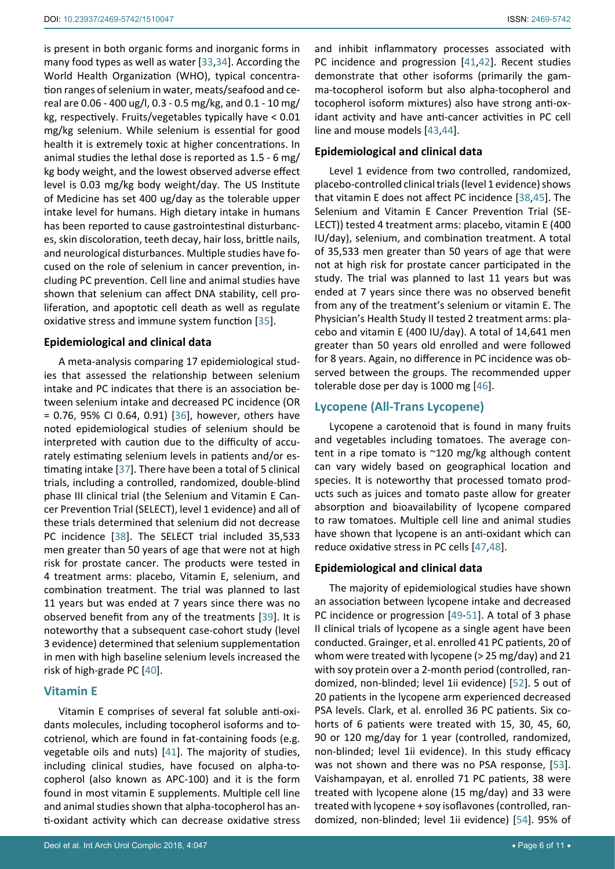is present in both organic forms and inorganic forms in many food types as well as water [\[33](#page-8-23),[34](#page-8-24)]. According the World Health Organization (WHO), typical concentration ranges of selenium in water, meats/seafood and cereal are 0.06 - 400 ug/l, 0.3 - 0.5 mg/kg, and 0.1 - 10 mg/ kg, respectively. Fruits/vegetables typically have < 0.01 mg/kg selenium. While selenium is essential for good health it is extremely toxic at higher concentrations. In animal studies the lethal dose is reported as 1.5 - 6 mg/ kg body weight, and the lowest observed adverse effect level is 0.03 mg/kg body weight/day. The US Institute of Medicine has set 400 ug/day as the tolerable upper intake level for humans. High dietary intake in humans has been reported to cause gastrointestinal disturbances, skin discoloration, teeth decay, hair loss, brittle nails, and neurological disturbances. Multiple studies have focused on the role of selenium in cancer prevention, including PC prevention. Cell line and animal studies have shown that selenium can affect DNA stability, cell proliferation, and apoptotic cell death as well as regulate oxidative stress and immune system function [\[35](#page-8-25)].

#### **Epidemiological and clinical data**

A meta-analysis comparing 17 epidemiological studies that assessed the relationship between selenium intake and PC indicates that there is an association between selenium intake and decreased PC incidence (OR = 0.76, 95% CI 0.64, 0.91) [\[36\]](#page-8-26), however, others have noted epidemiological studies of selenium should be interpreted with caution due to the difficulty of accurately estimating selenium levels in patients and/or estimating intake [\[37](#page-8-27)]. There have been a total of 5 clinical trials, including a controlled, randomized, double-blind phase III clinical trial (the Selenium and Vitamin E Cancer Prevention Trial (SELECT), level 1 evidence) and all of these trials determined that selenium did not decrease PC incidence [[38](#page-8-6)]. The SELECT trial included 35,533 men greater than 50 years of age that were not at high risk for prostate cancer. The products were tested in 4 treatment arms: placebo, Vitamin E, selenium, and combination treatment. The trial was planned to last 11 years but was ended at 7 years since there was no observed benefit from any of the treatments [[39\]](#page-8-5). It is noteworthy that a subsequent case-cohort study (level 3 evidence) determined that selenium supplementation in men with high baseline selenium levels increased the risk of high-grade PC [\[40\]](#page-8-28).

## **Vitamin E**

Vitamin E comprises of several fat soluble anti-oxidants molecules, including tocopherol isoforms and tocotrienol, which are found in fat-containing foods (e.g. vegetable oils and nuts) [[41](#page-8-14)]. The majority of studies, including clinical studies, have focused on alpha-tocopherol (also known as APC-100) and it is the form found in most vitamin E supplements. Multiple cell line and animal studies shown that alpha-tocopherol has anti-oxidant activity which can decrease oxidative stress and inhibit inflammatory processes associated with PC incidence and progression [[41](#page-8-14),[42\]](#page-8-15). Recent studies demonstrate that other isoforms (primarily the gamma-tocopherol isoform but also alpha-tocopherol and tocopherol isoform mixtures) also have strong anti-oxidant activity and have anti-cancer activities in PC cell line and mouse models [[43](#page-8-16),[44](#page-8-17)].

## **Epidemiological and clinical data**

Level 1 evidence from two controlled, randomized, placebo-controlled clinical trials (level 1 evidence) shows that vitamin E does not affect PC incidence [\[38](#page-8-6),[45](#page-8-7)]. The Selenium and Vitamin E Cancer Prevention Trial (SE-LECT)) tested 4 treatment arms: placebo, vitamin E (400 IU/day), selenium, and combination treatment. A total of 35,533 men greater than 50 years of age that were not at high risk for prostate cancer participated in the study. The trial was planned to last 11 years but was ended at 7 years since there was no observed benefit from any of the treatment's selenium or vitamin E. The Physician's Health Study II tested 2 treatment arms: placebo and vitamin E (400 IU/day). A total of 14,641 men greater than 50 years old enrolled and were followed for 8 years. Again, no difference in PC incidence was observed between the groups. The recommended upper tolerable dose per day is 1000 mg [\[46\]](#page-8-18).

# **Lycopene (All-Trans Lycopene)**

Lycopene a carotenoid that is found in many fruits and vegetables including tomatoes. The average content in a ripe tomato is ~120 mg/kg although content can vary widely based on geographical location and species. It is noteworthy that processed tomato products such as juices and tomato paste allow for greater absorption and bioavailability of lycopene compared to raw tomatoes. Multiple cell line and animal studies have shown that lycopene is an anti-oxidant which can reduce oxidative stress in PC cells [[47](#page-8-19),[48\]](#page-8-20).

## **Epidemiological and clinical data**

The majority of epidemiological studies have shown an association between lycopene intake and decreased PC incidence or progression [[49](#page-8-21)-[51](#page-8-22)]. A total of 3 phase II clinical trials of lycopene as a single agent have been conducted. Grainger, et al. enrolled 41 PC patients, 20 of whom were treated with lycopene (> 25 mg/day) and 21 with soy protein over a 2-month period (controlled, randomized, non-blinded; level 1ii evidence) [[52](#page-8-8)]. 5 out of 20 patients in the lycopene arm experienced decreased PSA levels. Clark, et al. enrolled 36 PC patients. Six cohorts of 6 patients were treated with 15, 30, 45, 60, 90 or 120 mg/day for 1 year (controlled, randomized, non-blinded; level 1ii evidence). In this study efficacy was not shown and there was no PSA response, [\[53\]](#page-9-3). Vaishampayan, et al. enrolled 71 PC patients, 38 were treated with lycopene alone (15 mg/day) and 33 were treated with lycopene + soy isoflavones (controlled, randomized, non-blinded; level 1ii evidence) [[54](#page-9-2)]. 95% of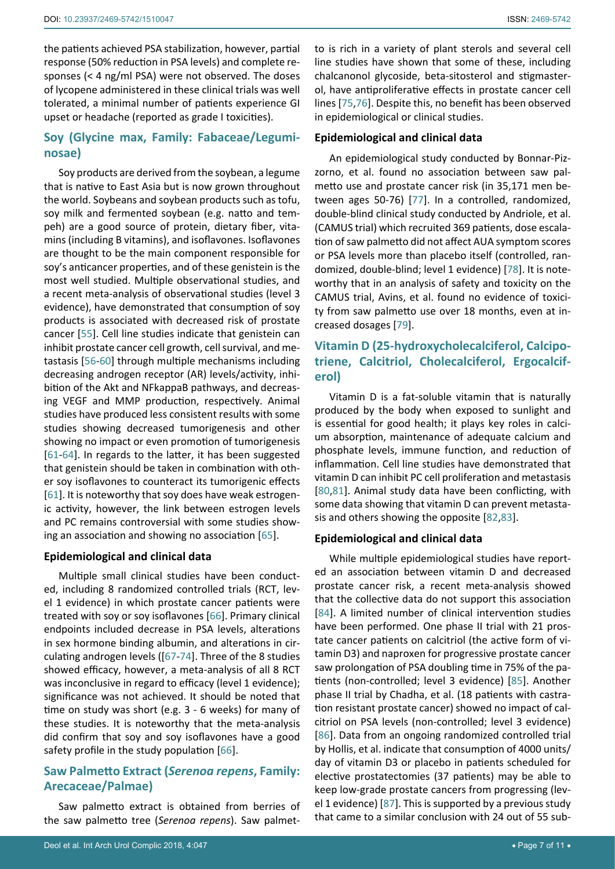the patients achieved PSA stabilization, however, partial response (50% reduction in PSA levels) and complete responses (< 4 ng/ml PSA) were not observed. The doses of lycopene administered in these clinical trials was well tolerated, a minimal number of patients experience GI upset or headache (reported as grade I toxicities).

# **Soy (Glycine max, Family: Fabaceae/Leguminosae)**

Soy products are derived from the soybean, a legume that is native to East Asia but is now grown throughout the world. Soybeans and soybean products such as tofu, soy milk and fermented soybean (e.g. natto and tempeh) are a good source of protein, dietary fiber, vitamins (including B vitamins), and isoflavones. Isoflavones are thought to be the main component responsible for soy's anticancer properties, and of these genistein is the most well studied. Multiple observational studies, and a recent meta-analysis of observational studies (level 3 evidence), have demonstrated that consumption of soy products is associated with decreased risk of prostate cancer [[55](#page-9-20)]. Cell line studies indicate that genistein can inhibit prostate cancer cell growth, cell survival, and metastasis [[56](#page-9-21)[-60\]](#page-9-22) through multiple mechanisms including decreasing androgen receptor (AR) levels/activity, inhibition of the Akt and NFkappaB pathways, and decreasing VEGF and MMP production, respectively. Animal studies have produced less consistent results with some studies showing decreased tumorigenesis and other showing no impact or even promotion of tumorigenesis [[61](#page-9-23)[-64\]](#page-9-24). In regards to the latter, it has been suggested that genistein should be taken in combination with other soy isoflavones to counteract its tumorigenic effects [[61](#page-9-23)]. It is noteworthy that soy does have weak estrogenic activity, however, the link between estrogen levels and PC remains controversial with some studies showing an association and showing no association [\[65](#page-9-25)].

## **Epidemiological and clinical data**

Multiple small clinical studies have been conducted, including 8 randomized controlled trials (RCT, level 1 evidence) in which prostate cancer patients were treated with soy or soy isoflavones [\[66](#page-9-0)]. Primary clinical endpoints included decrease in PSA levels, alterations in sex hormone binding albumin, and alterations in circulating androgen levels ([[67](#page-9-4)[-74](#page-9-11)]. Three of the 8 studies showed efficacy, however, a meta-analysis of all 8 RCT was inconclusive in regard to efficacy (level 1 evidence); significance was not achieved. It should be noted that time on study was short (e.g. 3 - 6 weeks) for many of these studies. It is noteworthy that the meta-analysis did confirm that soy and soy isoflavones have a good safety profile in the study population [[66\]](#page-9-0).

# **Saw Palmetto Extract (***Serenoa repens***, Family: Arecaceae/Palmae)**

Saw palmetto extract is obtained from berries of the saw palmetto tree (*Serenoa repens*). Saw palmetto is rich in a variety of plant sterols and several cell line studies have shown that some of these, including chalcanonol glycoside, beta-sitosterol and stigmasterol, have antiproliferative effects in prostate cancer cell lines [[75](#page-9-13),[76\]](#page-9-14). Despite this, no benefit has been observed in epidemiological or clinical studies.

## **Epidemiological and clinical data**

An epidemiological study conducted by Bonnar-Pizzorno, et al. found no association between saw palmetto use and prostate cancer risk (in 35,171 men between ages 50-76) [\[77](#page-9-12)]. In a controlled, randomized, double-blind clinical study conducted by Andriole, et al. (CAMUS trial) which recruited 369 patients, dose escalation of saw palmetto did not affect AUA symptom scores or PSA levels more than placebo itself (controlled, randomized, double-blind; level 1 evidence) [[78](#page-9-15)]. It is noteworthy that in an analysis of safety and toxicity on the CAMUS trial, Avins, et al. found no evidence of toxicity from saw palmetto use over 18 months, even at increased dosages [[79](#page-9-1)].

# **Vitamin D (25-hydroxycholecalciferol, Calcipotriene, Calcitriol, Cholecalciferol, Ergocalciferol)**

Vitamin D is a fat-soluble vitamin that is naturally produced by the body when exposed to sunlight and is essential for good health; it plays key roles in calcium absorption, maintenance of adequate calcium and phosphate levels, immune function, and reduction of inflammation. Cell line studies have demonstrated that vitamin D can inhibit PC cell proliferation and metastasis [\[80](#page-9-16)[,81](#page-9-17)]. Animal study data have been conflicting, with some data showing that vitamin D can prevent metastasis and others showing the opposite [[82](#page-9-18),[83](#page-9-19)].

## **Epidemiological and clinical data**

While multiple epidemiological studies have reported an association between vitamin D and decreased prostate cancer risk, a recent meta-analysis showed that the collective data do not support this association [[84](#page-10-4)]. A limited number of clinical intervention studies have been performed. One phase II trial with 21 prostate cancer patients on calcitriol (the active form of vitamin D3) and naproxen for progressive prostate cancer saw prolongation of PSA doubling time in 75% of the patients (non-controlled; level 3 evidence) [[85](#page-10-1)]. Another phase II trial by Chadha, et al. (18 patients with castration resistant prostate cancer) showed no impact of calcitriol on PSA levels (non-controlled; level 3 evidence) [[86](#page-10-2)]. Data from an ongoing randomized controlled trial by Hollis, et al. indicate that consumption of 4000 units/ day of vitamin D3 or placebo in patients scheduled for elective prostatectomies (37 patients) may be able to keep low-grade prostate cancers from progressing (level 1 evidence) [\[87](#page-10-5)]. This is supported by a previous study that came to a similar conclusion with 24 out of 55 sub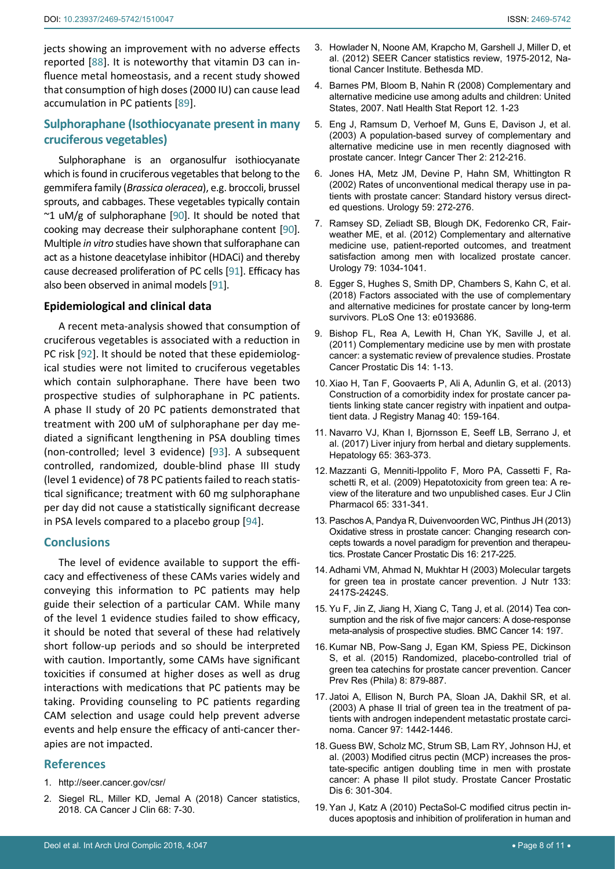jects showing an improvement with no adverse effects reported [[88](#page-10-6)]. It is noteworthy that vitamin D3 can influence metal homeostasis, and a recent study showed that consumption of high doses (2000 IU) can cause lead accumulation in PC patients [[89\]](#page-10-7).

# **Sulphoraphane (Isothiocyanate present in many cruciferous vegetables)**

Sulphoraphane is an organosulfur isothiocyanate which is found in cruciferous vegetables that belong to the gemmifera family (*Brassica oleracea*), e.g. broccoli, brussel sprouts, and cabbages. These vegetables typically contain  $\sim$ 1 uM/g of sulphoraphane [\[90](#page-10-8)]. It should be noted that cooking may decrease their sulphoraphane content [\[90\]](#page-10-8). Multiple *in vitro* studies have shown that sulforaphane can act as a histone deacetylase inhibitor (HDACi) and thereby cause decreased proliferation of PC cells [\[91](#page-10-9)]. Efficacy has also been observed in animal models [[91](#page-10-9)].

#### **Epidemiological and clinical data**

A recent meta-analysis showed that consumption of cruciferous vegetables is associated with a reduction in PC risk [\[92\]](#page-10-10). It should be noted that these epidemiological studies were not limited to cruciferous vegetables which contain sulphoraphane. There have been two prospective studies of sulphoraphane in PC patients. A phase II study of 20 PC patients demonstrated that treatment with 200 uM of sulphoraphane per day mediated a significant lengthening in PSA doubling times (non-controlled; level 3 evidence) [\[93](#page-10-3)]. A subsequent controlled, randomized, double-blind phase III study (level 1 evidence) of 78 PC patients failed to reach statistical significance; treatment with 60 mg sulphoraphane per day did not cause a statistically significant decrease in PSA levels compared to a placebo group [\[94](#page-10-0)].

## **Conclusions**

The level of evidence available to support the efficacy and effectiveness of these CAMs varies widely and conveying this information to PC patients may help guide their selection of a particular CAM. While many of the level 1 evidence studies failed to show efficacy, it should be noted that several of these had relatively short follow-up periods and so should be interpreted with caution. Importantly, some CAMs have significant toxicities if consumed at higher doses as well as drug interactions with medications that PC patients may be taking. Providing counseling to PC patients regarding CAM selection and usage could help prevent adverse events and help ensure the efficacy of anti-cancer therapies are not impacted.

## **References**

- <span id="page-7-0"></span>1. <http://seer.cancer.gov/csr/>
- <span id="page-7-1"></span>2. [Siegel RL, Miller KD, Jemal A \(2018\) Cancer statistics,](https://www.ncbi.nlm.nih.gov/pubmed/29313949)  [2018. CA Cancer J Clin 68: 7-30.](https://www.ncbi.nlm.nih.gov/pubmed/29313949)
- <span id="page-7-3"></span><span id="page-7-2"></span>4. [Barnes PM, Bloom B, Nahin R \(2008\) Complementary and](https://www.ncbi.nlm.nih.gov/pubmed/19361005)  [alternative medicine use among adults and children: United](https://www.ncbi.nlm.nih.gov/pubmed/19361005)  [States, 2007. Natl Health Stat Report 12. 1-23](https://www.ncbi.nlm.nih.gov/pubmed/19361005)
- <span id="page-7-7"></span>5. [Eng J, Ramsum D, Verhoef M, Guns E, Davison J, et al.](https://www.ncbi.nlm.nih.gov/pubmed/15035882)  [\(2003\) A population-based survey of complementary and](https://www.ncbi.nlm.nih.gov/pubmed/15035882)  [alternative medicine use in men recently diagnosed with](https://www.ncbi.nlm.nih.gov/pubmed/15035882)  [prostate cancer. Integr Cancer Ther 2: 212-216.](https://www.ncbi.nlm.nih.gov/pubmed/15035882)
- 6. [Jones HA, Metz JM, Devine P, Hahn SM, Whittington R](https://www.ncbi.nlm.nih.gov/pubmed/11834401)  [\(2002\) Rates of unconventional medical therapy use in pa](https://www.ncbi.nlm.nih.gov/pubmed/11834401)[tients with prostate cancer: Standard history versus direct](https://www.ncbi.nlm.nih.gov/pubmed/11834401)[ed questions. Urology 59: 272-276.](https://www.ncbi.nlm.nih.gov/pubmed/11834401)
- <span id="page-7-4"></span>7. [Ramsey SD, Zeliadt SB, Blough DK, Fedorenko CR, Fair](https://www.ncbi.nlm.nih.gov/pubmed/22546381)[weather ME, et al. \(2012\) Complementary and alternative](https://www.ncbi.nlm.nih.gov/pubmed/22546381)  [medicine use, patient-reported outcomes, and treatment](https://www.ncbi.nlm.nih.gov/pubmed/22546381)  [satisfaction among men with localized prostate cancer.](https://www.ncbi.nlm.nih.gov/pubmed/22546381)  [Urology 79: 1034-1041.](https://www.ncbi.nlm.nih.gov/pubmed/22546381)
- <span id="page-7-5"></span>8. [Egger S, Hughes S, Smith DP, Chambers S, Kahn C, et al.](https://www.ncbi.nlm.nih.gov/pubmed/29513724)  [\(2018\) Factors associated with the use of complementary](https://www.ncbi.nlm.nih.gov/pubmed/29513724)  [and alternative medicines for prostate cancer by long-term](https://www.ncbi.nlm.nih.gov/pubmed/29513724)  [survivors. PLoS One 13: e0193686.](https://www.ncbi.nlm.nih.gov/pubmed/29513724)
- <span id="page-7-8"></span>9. [Bishop FL, Rea A, Lewith H, Chan YK, Saville J, et al.](https://www.ncbi.nlm.nih.gov/pubmed/20956994)  [\(2011\) Complementary medicine use by men with prostate](https://www.ncbi.nlm.nih.gov/pubmed/20956994)  [cancer: a systematic review of prevalence studies. Prostate](https://www.ncbi.nlm.nih.gov/pubmed/20956994)  [Cancer Prostatic Dis 14: 1-13.](https://www.ncbi.nlm.nih.gov/pubmed/20956994)
- <span id="page-7-6"></span>10. Xiao H, Tan F, Goovaerts P, Ali A, Adunlin G, et al. (2013) Construction of a comorbidity index for prostate cancer patients linking state cancer registry with inpatient and outpatient data. J Registry Manag 40: 159-164.
- <span id="page-7-16"></span>11. [Navarro VJ, Khan I, Bjornsson E, Seeff LB, Serrano J, et](https://www.ncbi.nlm.nih.gov/pubmed/27677775)  [al. \(2017\) Liver injury from herbal and dietary supplements.](https://www.ncbi.nlm.nih.gov/pubmed/27677775)  [Hepatology 65: 363-373.](https://www.ncbi.nlm.nih.gov/pubmed/27677775)
- <span id="page-7-9"></span>12. [Mazzanti G, Menniti-Ippolito F, Moro PA, Cassetti F, Ra](https://www.ncbi.nlm.nih.gov/pubmed/19198822)[schetti R, et al. \(2009\) Hepatotoxicity from green tea: A re](https://www.ncbi.nlm.nih.gov/pubmed/19198822)[view of the literature and two unpublished cases. Eur J Clin](https://www.ncbi.nlm.nih.gov/pubmed/19198822)  [Pharmacol 65: 331-341.](https://www.ncbi.nlm.nih.gov/pubmed/19198822)
- <span id="page-7-10"></span>13. [Paschos A, Pandya R, Duivenvoorden WC, Pinthus JH \(2013\)](https://www.ncbi.nlm.nih.gov/pubmed/23670256)  [Oxidative stress in prostate cancer: Changing research con](https://www.ncbi.nlm.nih.gov/pubmed/23670256)[cepts towards a novel paradigm for prevention and therapeu](https://www.ncbi.nlm.nih.gov/pubmed/23670256)[tics. Prostate Cancer Prostatic Dis 16: 217-225.](https://www.ncbi.nlm.nih.gov/pubmed/23670256)
- <span id="page-7-14"></span>14. [Adhami VM, Ahmad N, Mukhtar H \(2003\) Molecular targets](https://www.ncbi.nlm.nih.gov/pubmed/12840218)  [for green tea in prostate cancer prevention. J Nutr 133:](https://www.ncbi.nlm.nih.gov/pubmed/12840218)  [2417S-2424S.](https://www.ncbi.nlm.nih.gov/pubmed/12840218)
- <span id="page-7-15"></span>15. [Yu F, Jin Z, Jiang H, Xiang C, Tang J, et al. \(2014\) Tea con](https://www.ncbi.nlm.nih.gov/pubmed/24636229)[sumption and the risk of five major cancers: A dose-response](https://www.ncbi.nlm.nih.gov/pubmed/24636229)  [meta-analysis of prospective studies. BMC Cancer 14: 197.](https://www.ncbi.nlm.nih.gov/pubmed/24636229)
- <span id="page-7-12"></span>16. [Kumar NB, Pow-Sang J, Egan KM, Spiess PE, Dickinson](https://www.ncbi.nlm.nih.gov/pubmed/25873370)  [S, et al. \(2015\) Randomized, placebo-controlled trial of](https://www.ncbi.nlm.nih.gov/pubmed/25873370)  [green tea catechins for prostate cancer prevention. Cancer](https://www.ncbi.nlm.nih.gov/pubmed/25873370)  [Prev Res \(Phila\) 8: 879-887.](https://www.ncbi.nlm.nih.gov/pubmed/25873370)
- <span id="page-7-13"></span>17. [Jatoi A, Ellison N, Burch PA, Sloan JA, Dakhil SR, et al.](https://www.ncbi.nlm.nih.gov/pubmed/12627508)  [\(2003\) A phase II trial of green tea in the treatment of pa](https://www.ncbi.nlm.nih.gov/pubmed/12627508)[tients with androgen independent metastatic prostate carci](https://www.ncbi.nlm.nih.gov/pubmed/12627508)[noma. Cancer 97: 1442-1446.](https://www.ncbi.nlm.nih.gov/pubmed/12627508)
- <span id="page-7-11"></span>18. [Guess BW, Scholz MC, Strum SB, Lam RY, Johnson HJ, et](https://www.ncbi.nlm.nih.gov/pubmed/14663471)  [al. \(2003\) Modified citrus pectin \(MCP\) increases the pros](https://www.ncbi.nlm.nih.gov/pubmed/14663471)[tate-specific antigen doubling time in men with prostate](https://www.ncbi.nlm.nih.gov/pubmed/14663471)  [cancer: A phase II pilot study. Prostate Cancer Prostatic](https://www.ncbi.nlm.nih.gov/pubmed/14663471)  [Dis 6: 301-304.](https://www.ncbi.nlm.nih.gov/pubmed/14663471)
- <span id="page-7-17"></span>19. [Yan J, Katz A \(2010\) PectaSol-C modified citrus pectin in](https://www.ncbi.nlm.nih.gov/pubmed/20462856)[duces apoptosis and inhibition of proliferation in human and](https://www.ncbi.nlm.nih.gov/pubmed/20462856)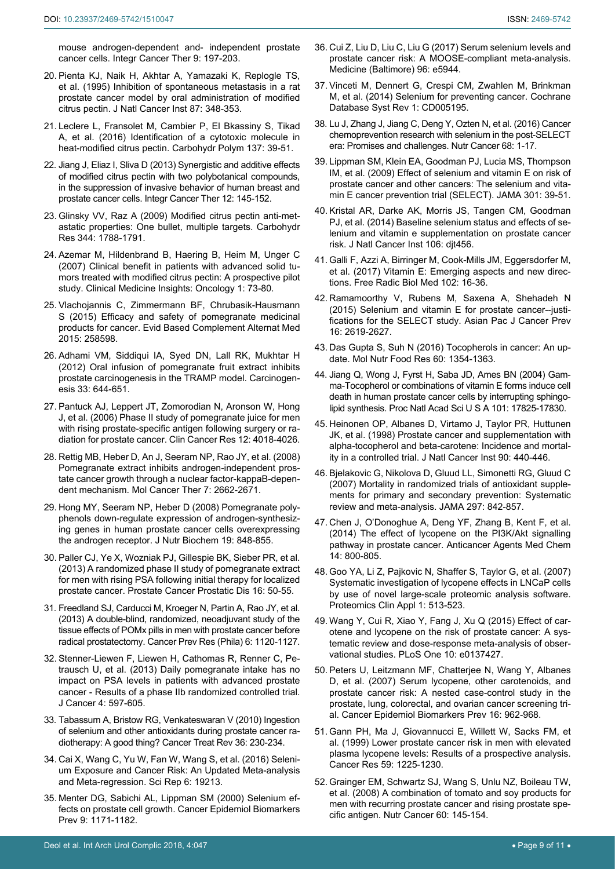[mouse androgen-dependent and- independent prostate](https://www.ncbi.nlm.nih.gov/pubmed/20462856)  [cancer cells. Integr Cancer Ther 9: 197-203.](https://www.ncbi.nlm.nih.gov/pubmed/20462856)

- 20. [Pienta KJ, Naik H, Akhtar A, Yamazaki K, Replogle TS,](https://www.ncbi.nlm.nih.gov/pubmed/7853416)  [et al. \(1995\) Inhibition of spontaneous metastasis in a rat](https://www.ncbi.nlm.nih.gov/pubmed/7853416)  [prostate cancer model by oral administration of modified](https://www.ncbi.nlm.nih.gov/pubmed/7853416)  [citrus pectin. J Natl Cancer Inst 87: 348-353.](https://www.ncbi.nlm.nih.gov/pubmed/7853416)
- 21. [Leclere L, Fransolet M, Cambier P, El Bkassiny S, Tikad](https://www.ncbi.nlm.nih.gov/pubmed/26686103)  [A, et al. \(2016\) Identification of a cytotoxic molecule in](https://www.ncbi.nlm.nih.gov/pubmed/26686103)  [heat-modified citrus pectin. Carbohydr Polym 137: 39-51.](https://www.ncbi.nlm.nih.gov/pubmed/26686103)
- 22. [Jiang J, Eliaz I, Sliva D \(2013\) Synergistic and additive effects](https://www.ncbi.nlm.nih.gov/pubmed/22532035)  [of modified citrus pectin with two polybotanical compounds,](https://www.ncbi.nlm.nih.gov/pubmed/22532035)  [in the suppression of invasive behavior of human breast and](https://www.ncbi.nlm.nih.gov/pubmed/22532035)  [prostate cancer cells. Integr Cancer Ther 12: 145-152.](https://www.ncbi.nlm.nih.gov/pubmed/22532035)
- <span id="page-8-13"></span>23. [Glinsky VV, Raz A \(2009\) Modified citrus pectin anti-met](https://www.ncbi.nlm.nih.gov/pubmed/19061992)[astatic properties: One bullet, multiple targets. Carbohydr](https://www.ncbi.nlm.nih.gov/pubmed/19061992)  [Res 344: 1788-1791.](https://www.ncbi.nlm.nih.gov/pubmed/19061992)
- <span id="page-8-1"></span>24. [Azemar M, Hildenbrand B, Haering B, Heim M, Unger C](http://journals.sagepub.com/doi/abs/10.4137/CMO.S285)  [\(2007\) Clinical benefit in patients with advanced solid tu](http://journals.sagepub.com/doi/abs/10.4137/CMO.S285)[mors treated with modified citrus pectin: A prospective pilot](http://journals.sagepub.com/doi/abs/10.4137/CMO.S285)  [study. Clinical Medicine Insights: Oncology 1: 73-80.](http://journals.sagepub.com/doi/abs/10.4137/CMO.S285)
- <span id="page-8-9"></span>25. [Vlachojannis C, Zimmermann BF, Chrubasik-Hausmann](https://www.ncbi.nlm.nih.gov/pubmed/25815026)  [S \(2015\) Efficacy and safety of pomegranate medicinal](https://www.ncbi.nlm.nih.gov/pubmed/25815026)  [products for cancer. Evid Based Complement Alternat Med](https://www.ncbi.nlm.nih.gov/pubmed/25815026)  [2015: 258598.](https://www.ncbi.nlm.nih.gov/pubmed/25815026)
- <span id="page-8-10"></span>26. [Adhami VM, Siddiqui IA, Syed DN, Lall RK, Mukhtar H](https://www.ncbi.nlm.nih.gov/pubmed/22198212)  [\(2012\) Oral infusion of pomegranate fruit extract inhibits](https://www.ncbi.nlm.nih.gov/pubmed/22198212)  [prostate carcinogenesis in the TRAMP model. Carcinogen](https://www.ncbi.nlm.nih.gov/pubmed/22198212)[esis 33: 644-651.](https://www.ncbi.nlm.nih.gov/pubmed/22198212)
- <span id="page-8-2"></span>27. [Pantuck AJ, Leppert JT, Zomorodian N, Aronson W, Hong](https://www.ncbi.nlm.nih.gov/pubmed/16818701)  [J, et al. \(2006\) Phase II study of pomegranate juice for men](https://www.ncbi.nlm.nih.gov/pubmed/16818701)  [with rising prostate-specific antigen following surgery or ra](https://www.ncbi.nlm.nih.gov/pubmed/16818701)[diation for prostate cancer. Clin Cancer Res 12: 4018-4026.](https://www.ncbi.nlm.nih.gov/pubmed/16818701)
- <span id="page-8-11"></span>28. [Rettig MB, Heber D, An J, Seeram NP, Rao JY, et al. \(2008\)](https://www.ncbi.nlm.nih.gov/pubmed/18790748)  [Pomegranate extract inhibits androgen-independent pros](https://www.ncbi.nlm.nih.gov/pubmed/18790748)[tate cancer growth through a nuclear factor-kappaB-depen](https://www.ncbi.nlm.nih.gov/pubmed/18790748)[dent mechanism. Mol Cancer Ther 7: 2662-2671.](https://www.ncbi.nlm.nih.gov/pubmed/18790748)
- <span id="page-8-12"></span>29. [Hong MY, Seeram NP, Heber D \(2008\) Pomegranate poly](https://www.ncbi.nlm.nih.gov/pubmed/18479901)[phenols down-regulate expression of androgen-synthesiz](https://www.ncbi.nlm.nih.gov/pubmed/18479901)[ing genes in human prostate cancer cells overexpressing](https://www.ncbi.nlm.nih.gov/pubmed/18479901)  [the androgen receptor. J Nutr Biochem 19: 848-855.](https://www.ncbi.nlm.nih.gov/pubmed/18479901)
- <span id="page-8-0"></span>30. [Paller CJ, Ye X, Wozniak PJ, Gillespie BK, Sieber PR, et al.](https://www.ncbi.nlm.nih.gov/pubmed/22689129)  [\(2013\) A randomized phase II study of pomegranate extract](https://www.ncbi.nlm.nih.gov/pubmed/22689129)  [for men with rising PSA following initial therapy for localized](https://www.ncbi.nlm.nih.gov/pubmed/22689129)  [prostate cancer. Prostate Cancer Prostatic Dis 16: 50-55.](https://www.ncbi.nlm.nih.gov/pubmed/22689129)
- <span id="page-8-3"></span>31. [Freedland SJ, Carducci M, Kroeger N, Partin A, Rao JY, et al.](https://www.ncbi.nlm.nih.gov/pubmed/23985577)  [\(2013\) A double-blind, randomized, neoadjuvant study of the](https://www.ncbi.nlm.nih.gov/pubmed/23985577)  [tissue effects of POMx pills in men with prostate cancer before](https://www.ncbi.nlm.nih.gov/pubmed/23985577)  [radical prostatectomy. Cancer Prev Res \(Phila\) 6: 1120-1127.](https://www.ncbi.nlm.nih.gov/pubmed/23985577)
- <span id="page-8-4"></span>32. [Stenner-Liewen F, Liewen H, Cathomas R, Renner C, Pe](https://www.ncbi.nlm.nih.gov/pubmed/24069070)[trausch U, et al. \(2013\) Daily pomegranate intake has no](https://www.ncbi.nlm.nih.gov/pubmed/24069070)  [impact on PSA levels in patients with advanced prostate](https://www.ncbi.nlm.nih.gov/pubmed/24069070)  [cancer - Results of a phase IIb randomized controlled trial.](https://www.ncbi.nlm.nih.gov/pubmed/24069070)  [J Cancer 4: 597-605.](https://www.ncbi.nlm.nih.gov/pubmed/24069070)
- <span id="page-8-23"></span>33. [Tabassum A, Bristow RG, Venkateswaran V \(2010\) Ingestion](https://www.ncbi.nlm.nih.gov/pubmed/20079573)  [of selenium and other antioxidants during prostate cancer ra](https://www.ncbi.nlm.nih.gov/pubmed/20079573)[diotherapy: A good thing? Cancer Treat Rev 36: 230-234.](https://www.ncbi.nlm.nih.gov/pubmed/20079573)
- <span id="page-8-24"></span>34. [Cai X, Wang C, Yu W, Fan W, Wang S, et al. \(2016\) Seleni](https://www.ncbi.nlm.nih.gov/pubmed/26786590)[um Exposure and Cancer Risk: An Updated Meta-analysis](https://www.ncbi.nlm.nih.gov/pubmed/26786590)  [and Meta-regression. Sci Rep 6: 19213.](https://www.ncbi.nlm.nih.gov/pubmed/26786590)
- <span id="page-8-25"></span>35. [Menter DG, Sabichi AL, Lippman SM \(2000\) Selenium ef](https://www.ncbi.nlm.nih.gov/pubmed/11097224)[fects on prostate cell growth. Cancer Epidemiol Biomarkers](https://www.ncbi.nlm.nih.gov/pubmed/11097224)  [Prev 9: 1171-1182.](https://www.ncbi.nlm.nih.gov/pubmed/11097224)
- <span id="page-8-26"></span>36. [Cui Z, Liu D, Liu C, Liu G \(2017\) Serum selenium levels and](https://www.ncbi.nlm.nih.gov/pubmed/28151881)  [prostate cancer risk: A MOOSE-compliant meta-analysis.](https://www.ncbi.nlm.nih.gov/pubmed/28151881)  [Medicine \(Baltimore\) 96: e5944.](https://www.ncbi.nlm.nih.gov/pubmed/28151881)
- <span id="page-8-27"></span>37. [Vinceti M, Dennert G, Crespi CM, Zwahlen M, Brinkman](https://www.ncbi.nlm.nih.gov/pubmed/29376219)  [M, et al. \(2014\) Selenium for preventing cancer. Cochrane](https://www.ncbi.nlm.nih.gov/pubmed/29376219)  [Database Syst Rev 1: CD005195.](https://www.ncbi.nlm.nih.gov/pubmed/29376219)
- <span id="page-8-6"></span>38. [Lu J, Zhang J, Jiang C, Deng Y, Ozten N, et al. \(2016\) Cancer](https://www.ncbi.nlm.nih.gov/pubmed/26595411)  [chemoprevention research with selenium in the post-SELECT](https://www.ncbi.nlm.nih.gov/pubmed/26595411)  [era: Promises and challenges. Nutr Cancer 68: 1-17.](https://www.ncbi.nlm.nih.gov/pubmed/26595411)
- <span id="page-8-5"></span>39. Lippman SM, Klein EA, Goodman PJ, Lucia MS, Thompson IM, et al. (2009) Effect of selenium and vitamin E on risk of prostate cancer and other cancers: The selenium and vitamin E cancer prevention trial (SELECT). JAMA 301: 39-51.
- <span id="page-8-28"></span>40. [Kristal AR, Darke AK, Morris JS, Tangen CM, Goodman](https://www.ncbi.nlm.nih.gov/pubmed/24563519)  [PJ, et al. \(2014\) Baseline selenium status and effects of se](https://www.ncbi.nlm.nih.gov/pubmed/24563519)[lenium and vitamin e supplementation on prostate cancer](https://www.ncbi.nlm.nih.gov/pubmed/24563519)  [risk. J Natl Cancer Inst 106: djt456.](https://www.ncbi.nlm.nih.gov/pubmed/24563519)
- <span id="page-8-14"></span>41. [Galli F, Azzi A, Birringer M, Cook-Mills JM, Eggersdorfer M,](https://www.ncbi.nlm.nih.gov/pubmed/27816611)  [et al. \(2017\) Vitamin E: Emerging aspects and new direc](https://www.ncbi.nlm.nih.gov/pubmed/27816611)[tions. Free Radic Biol Med 102: 16-36.](https://www.ncbi.nlm.nih.gov/pubmed/27816611)
- <span id="page-8-15"></span>42. Ramamoorthy V, Rubens M, Saxena A, Shehadeh N (2015) Selenium and vitamin E for prostate cancer--justifications for the SELECT study. Asian Pac J Cancer Prev 16: 2619-2627.
- <span id="page-8-16"></span>43. [Das Gupta S, Suh N \(2016\) Tocopherols in cancer: An up](https://www.ncbi.nlm.nih.gov/pubmed/26751721)[date. Mol Nutr Food Res 60: 1354-1363.](https://www.ncbi.nlm.nih.gov/pubmed/26751721)
- <span id="page-8-17"></span>44. [Jiang Q, Wong J, Fyrst H, Saba JD, Ames BN \(2004\) Gam](https://www.ncbi.nlm.nih.gov/pubmed/15596715)[ma-Tocopherol or combinations of vitamin E forms induce cell](https://www.ncbi.nlm.nih.gov/pubmed/15596715)  [death in human prostate cancer cells by interrupting sphingo](https://www.ncbi.nlm.nih.gov/pubmed/15596715)[lipid synthesis. Proc Natl Acad Sci U S A 101: 17825-17830.](https://www.ncbi.nlm.nih.gov/pubmed/15596715)
- <span id="page-8-7"></span>45. [Heinonen OP, Albanes D, Virtamo J, Taylor PR, Huttunen](https://www.ncbi.nlm.nih.gov/pubmed/9521168)  [JK, et al. \(1998\) Prostate cancer and supplementation with](https://www.ncbi.nlm.nih.gov/pubmed/9521168)  [alpha-tocopherol and beta-carotene: Incidence and mortal](https://www.ncbi.nlm.nih.gov/pubmed/9521168)[ity in a controlled trial. J Natl Cancer Inst 90: 440-446.](https://www.ncbi.nlm.nih.gov/pubmed/9521168)
- <span id="page-8-18"></span>46. [Bjelakovic G, Nikolova D, Gluud LL, Simonetti RG, Gluud C](https://www.ncbi.nlm.nih.gov/pubmed/17327526)  [\(2007\) Mortality in randomized trials of antioxidant supple](https://www.ncbi.nlm.nih.gov/pubmed/17327526)[ments for primary and secondary prevention: Systematic](https://www.ncbi.nlm.nih.gov/pubmed/17327526)  [review and meta-analysis. JAMA 297: 842-857.](https://www.ncbi.nlm.nih.gov/pubmed/17327526)
- <span id="page-8-19"></span>47. [Chen J, O'Donoghue A, Deng YF, Zhang B, Kent F, et al.](https://www.ncbi.nlm.nih.gov/pubmed/24851879)  [\(2014\) The effect of lycopene on the PI3K/Akt signalling](https://www.ncbi.nlm.nih.gov/pubmed/24851879)  [pathway in prostate cancer. Anticancer Agents Med Chem](https://www.ncbi.nlm.nih.gov/pubmed/24851879)  [14: 800-805.](https://www.ncbi.nlm.nih.gov/pubmed/24851879)
- <span id="page-8-20"></span>48. [Goo YA, Li Z, Pajkovic N, Shaffer S, Taylor G, et al. \(2007\)](https://www.ncbi.nlm.nih.gov/pubmed/20740054)  [Systematic investigation of lycopene effects in LNCaP cells](https://www.ncbi.nlm.nih.gov/pubmed/20740054)  [by use of novel large-scale proteomic analysis software.](https://www.ncbi.nlm.nih.gov/pubmed/20740054)  [Proteomics Clin Appl 1: 513-523.](https://www.ncbi.nlm.nih.gov/pubmed/20740054)
- <span id="page-8-21"></span>49. [Wang Y, Cui R, Xiao Y, Fang J, Xu Q \(2015\) Effect of car](https://www.ncbi.nlm.nih.gov/pubmed/26372549)[otene and lycopene on the risk of prostate cancer: A sys](https://www.ncbi.nlm.nih.gov/pubmed/26372549)[tematic review and dose-response meta-analysis of obser](https://www.ncbi.nlm.nih.gov/pubmed/26372549)[vational studies. PLoS One 10: e0137427.](https://www.ncbi.nlm.nih.gov/pubmed/26372549)
- 50. Peters U, Leitzmann MF, Chatterjee N, Wang Y, Albanes D, et al. (2007) Serum lycopene, other carotenoids, and prostate cancer risk: A nested case-control study in the prostate, lung, colorectal, and ovarian cancer screening trial. Cancer Epidemiol Biomarkers Prev 16: 962-968.
- <span id="page-8-22"></span>51. [Gann PH, Ma J, Giovannucci E, Willett W, Sacks FM, et](https://www.ncbi.nlm.nih.gov/pubmed/10096552)  [al. \(1999\) Lower prostate cancer risk in men with elevated](https://www.ncbi.nlm.nih.gov/pubmed/10096552)  [plasma lycopene levels: Results of a prospective analysis.](https://www.ncbi.nlm.nih.gov/pubmed/10096552)  [Cancer Res 59: 1225-1230.](https://www.ncbi.nlm.nih.gov/pubmed/10096552)
- <span id="page-8-8"></span>52. [Grainger EM, Schwartz SJ, Wang S, Unlu NZ, Boileau TW,](https://www.ncbi.nlm.nih.gov/pubmed/18444145)  [et al. \(2008\) A combination of tomato and soy products for](https://www.ncbi.nlm.nih.gov/pubmed/18444145)  [men with recurring prostate cancer and rising prostate spe](https://www.ncbi.nlm.nih.gov/pubmed/18444145)[cific antigen. Nutr Cancer 60: 145-154.](https://www.ncbi.nlm.nih.gov/pubmed/18444145)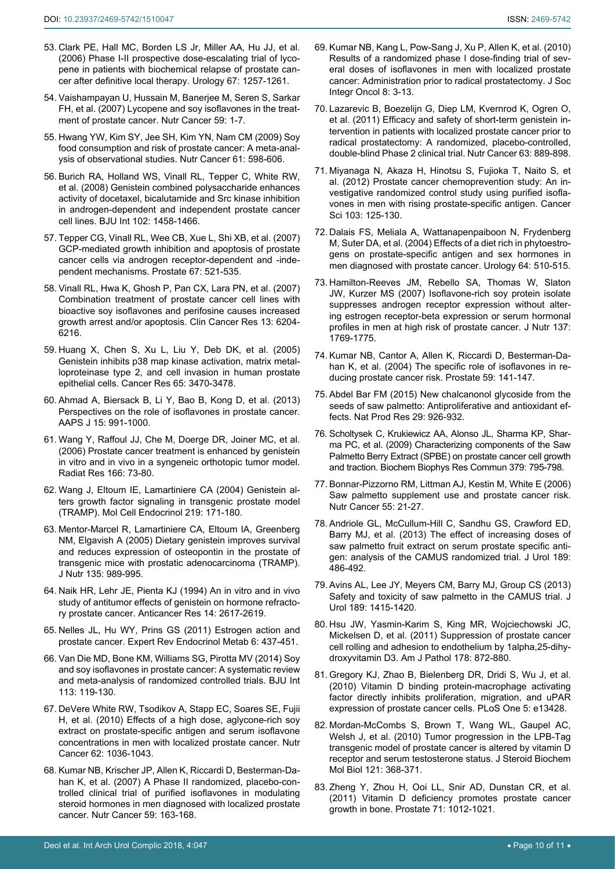- <span id="page-9-3"></span>53. [Clark PE, Hall MC, Borden LS Jr, Miller AA, Hu JJ, et al.](https://www.ncbi.nlm.nih.gov/pubmed/16765186)  [\(2006\) Phase I-II prospective dose-escalating trial of lyco](https://www.ncbi.nlm.nih.gov/pubmed/16765186)[pene in patients with biochemical relapse of prostate can](https://www.ncbi.nlm.nih.gov/pubmed/16765186)[cer after definitive local therapy. Urology 67: 1257-1261.](https://www.ncbi.nlm.nih.gov/pubmed/16765186)
- <span id="page-9-2"></span>54. [Vaishampayan U, Hussain M, Banerjee M, Seren S, Sarkar](https://www.ncbi.nlm.nih.gov/pubmed/17927495)  [FH, et al. \(2007\) Lycopene and soy isoflavones in the treat](https://www.ncbi.nlm.nih.gov/pubmed/17927495)[ment of prostate cancer. Nutr Cancer 59: 1-7.](https://www.ncbi.nlm.nih.gov/pubmed/17927495)
- <span id="page-9-20"></span>55. [Hwang YW, Kim SY, Jee SH, Kim YN, Nam CM \(2009\) Soy](https://www.ncbi.nlm.nih.gov/pubmed/19838933)  [food consumption and risk of prostate cancer: A meta-anal](https://www.ncbi.nlm.nih.gov/pubmed/19838933)[ysis of observational studies. Nutr Cancer 61: 598-606.](https://www.ncbi.nlm.nih.gov/pubmed/19838933)
- <span id="page-9-21"></span>56. [Burich RA, Holland WS, Vinall RL, Tepper C, White RW,](file:///I:/Clinmed/Articles/CMRCR/Volume%205/CMRCR%205.10/CMRCR_AI/Genistein combined polysaccharide enhances activity of docetaxel, bicalutamide and Src kinase inhibition in androgen-dependent and independent%20prostate cancer cell lines)  [et al. \(2008\) Genistein combined polysaccharide enhances](file:///I:/Clinmed/Articles/CMRCR/Volume%205/CMRCR%205.10/CMRCR_AI/Genistein combined polysaccharide enhances activity of docetaxel, bicalutamide and Src kinase inhibition in androgen-dependent and independent%20prostate cancer cell lines)  [activity of docetaxel, bicalutamide and Src kinase inhibition](file:///I:/Clinmed/Articles/CMRCR/Volume%205/CMRCR%205.10/CMRCR_AI/Genistein combined polysaccharide enhances activity of docetaxel, bicalutamide and Src kinase inhibition in androgen-dependent and independent%20prostate cancer cell lines)  [in androgen-dependent and independent prostate cancer](file:///I:/Clinmed/Articles/CMRCR/Volume%205/CMRCR%205.10/CMRCR_AI/Genistein combined polysaccharide enhances activity of docetaxel, bicalutamide and Src kinase inhibition in androgen-dependent and independent%20prostate cancer cell lines)  [cell lines. BJU Int 102: 1458-1466.](file:///I:/Clinmed/Articles/CMRCR/Volume%205/CMRCR%205.10/CMRCR_AI/Genistein combined polysaccharide enhances activity of docetaxel, bicalutamide and Src kinase inhibition in androgen-dependent and independent%20prostate cancer cell lines)
- 57. [Tepper CG, Vinall RL, Wee CB, Xue L, Shi XB, et al. \(2007\)](https://www.ncbi.nlm.nih.gov/pubmed/?term=GCP-mediated+growth+inhibition+and+apoptosis+of+prostate+cancer+cells+via+androgen+receptor-dependent+and+-independent+mechanisms)  [GCP-mediated growth inhibition and apoptosis of prostate](https://www.ncbi.nlm.nih.gov/pubmed/?term=GCP-mediated+growth+inhibition+and+apoptosis+of+prostate+cancer+cells+via+androgen+receptor-dependent+and+-independent+mechanisms)  [cancer cells via androgen receptor-dependent and -inde](https://www.ncbi.nlm.nih.gov/pubmed/?term=GCP-mediated+growth+inhibition+and+apoptosis+of+prostate+cancer+cells+via+androgen+receptor-dependent+and+-independent+mechanisms)[pendent mechanisms. Prostate 67: 521-535.](https://www.ncbi.nlm.nih.gov/pubmed/?term=GCP-mediated+growth+inhibition+and+apoptosis+of+prostate+cancer+cells+via+androgen+receptor-dependent+and+-independent+mechanisms)
- 58. [Vinall RL, Hwa K, Ghosh P, Pan CX, Lara PN, et al. \(2007\)](https://www.ncbi.nlm.nih.gov/pubmed/17947488)  [Combination treatment of prostate cancer cell lines with](https://www.ncbi.nlm.nih.gov/pubmed/17947488)  [bioactive soy isoflavones and perifosine causes increased](https://www.ncbi.nlm.nih.gov/pubmed/17947488)  [growth arrest and/or apoptosis. Clin Cancer Res 13: 6204-](https://www.ncbi.nlm.nih.gov/pubmed/17947488) [6216.](https://www.ncbi.nlm.nih.gov/pubmed/17947488)
- 59. [Huang X, Chen S, Xu L, Liu Y, Deb DK, et al. \(2005\)](https://www.ncbi.nlm.nih.gov/pubmed/15833883)  [Genistein inhibits p38 map kinase activation, matrix metal](https://www.ncbi.nlm.nih.gov/pubmed/15833883)[loproteinase type 2, and cell invasion in human prostate](https://www.ncbi.nlm.nih.gov/pubmed/15833883)  [epithelial cells. Cancer Res 65: 3470-3478.](https://www.ncbi.nlm.nih.gov/pubmed/15833883)
- <span id="page-9-22"></span>60. Ahmad A, Biersack B, Li Y, Bao B, Kong D, et al. (2013) Perspectives on the role of isoflavones in prostate cancer. AAPS J 15: 991-1000.
- <span id="page-9-23"></span>61. [Wang Y, Raffoul JJ, Che M, Doerge DR, Joiner MC, et al.](https://www.ncbi.nlm.nih.gov/pubmed/16808622)  [\(2006\) Prostate cancer treatment is enhanced by genistein](https://www.ncbi.nlm.nih.gov/pubmed/16808622)  [in vitro and in vivo in a syngeneic orthotopic tumor model.](https://www.ncbi.nlm.nih.gov/pubmed/16808622)  [Radiat Res 166: 73-80.](https://www.ncbi.nlm.nih.gov/pubmed/16808622)
- 62. [Wang J, Eltoum IE, Lamartiniere CA \(2004\) Genistein al](https://www.ncbi.nlm.nih.gov/pubmed/15149738)[ters growth factor signaling in transgenic prostate model](https://www.ncbi.nlm.nih.gov/pubmed/15149738)  [\(TRAMP\). Mol Cell Endocrinol 219: 171-180.](https://www.ncbi.nlm.nih.gov/pubmed/15149738)
- 63. [Mentor-Marcel R, Lamartiniere CA, Eltoum IA, Greenberg](https://www.ncbi.nlm.nih.gov/pubmed/15867270)  [NM, Elgavish A \(2005\) Dietary genistein improves survival](https://www.ncbi.nlm.nih.gov/pubmed/15867270)  [and reduces expression of osteopontin in the prostate of](https://www.ncbi.nlm.nih.gov/pubmed/15867270)  [transgenic mice with prostatic adenocarcinoma \(TRAMP\).](https://www.ncbi.nlm.nih.gov/pubmed/15867270)  [J Nutr 135: 989-995.](https://www.ncbi.nlm.nih.gov/pubmed/15867270)
- <span id="page-9-24"></span>64. [Naik HR, Lehr JE, Pienta KJ \(1994\) An in vitro and in vivo](https://www.ncbi.nlm.nih.gov/pubmed/7872690)  [study of antitumor effects of genistein on hormone refracto](https://www.ncbi.nlm.nih.gov/pubmed/7872690)[ry prostate cancer. Anticancer Res 14: 2617-2619.](https://www.ncbi.nlm.nih.gov/pubmed/7872690)
- <span id="page-9-25"></span>65. [Nelles JL, Hu WY, Prins GS \(2011\) Estrogen action and](https://www.ncbi.nlm.nih.gov/pmc/articles/PMC3134227/)  [prostate cancer. Expert Rev Endocrinol Metab 6: 437-451.](https://www.ncbi.nlm.nih.gov/pmc/articles/PMC3134227/)
- <span id="page-9-0"></span>66. [Van Die MD, Bone KM, Williams SG, Pirotta MV \(2014\) Soy](https://www.ncbi.nlm.nih.gov/pubmed/24053483)  [and soy isoflavones in prostate cancer: A systematic review](https://www.ncbi.nlm.nih.gov/pubmed/24053483)  [and meta-analysis of randomized controlled trials. BJU Int](https://www.ncbi.nlm.nih.gov/pubmed/24053483)  [113: 119-130.](https://www.ncbi.nlm.nih.gov/pubmed/24053483)
- <span id="page-9-4"></span>67. [DeVere White RW, Tsodikov A, Stapp EC, Soares SE, Fujii](https://www.ncbi.nlm.nih.gov/pubmed/21058191)  [H, et al. \(2010\) Effects of a high dose, aglycone-rich soy](https://www.ncbi.nlm.nih.gov/pubmed/21058191)  [extract on prostate-specific antigen and serum isoflavone](https://www.ncbi.nlm.nih.gov/pubmed/21058191)  [concentrations in men with localized prostate cancer. Nutr](https://www.ncbi.nlm.nih.gov/pubmed/21058191)  [Cancer 62: 1036-1043.](https://www.ncbi.nlm.nih.gov/pubmed/21058191)
- <span id="page-9-5"></span>68. [Kumar NB, Krischer JP, Allen K, Riccardi D, Besterman-Da](https://www.ncbi.nlm.nih.gov/pmc/articles/PMC2435485/)[han K, et al. \(2007\) A Phase II randomized, placebo-con](https://www.ncbi.nlm.nih.gov/pmc/articles/PMC2435485/)[trolled clinical trial of purified isoflavones in modulating](https://www.ncbi.nlm.nih.gov/pmc/articles/PMC2435485/)  [steroid hormones in men diagnosed with localized prostate](https://www.ncbi.nlm.nih.gov/pmc/articles/PMC2435485/)  [cancer. Nutr Cancer 59: 163-168.](https://www.ncbi.nlm.nih.gov/pmc/articles/PMC2435485/)
- <span id="page-9-6"></span>69. [Kumar NB, Kang L, Pow-Sang J, Xu P, Allen K, et al. \(2010\)](https://www.ncbi.nlm.nih.gov/pubmed/20205984)  [Results of a randomized phase I dose-finding trial of sev](https://www.ncbi.nlm.nih.gov/pubmed/20205984)[eral doses of isoflavones in men with localized prostate](https://www.ncbi.nlm.nih.gov/pubmed/20205984)  [cancer: Administration prior to radical prostatectomy. J Soc](https://www.ncbi.nlm.nih.gov/pubmed/20205984)  [Integr Oncol 8: 3-13.](https://www.ncbi.nlm.nih.gov/pubmed/20205984)
- <span id="page-9-7"></span>70. [Lazarevic B, Boezelijn G, Diep LM, Kvernrod K, Ogren O,](https://www.ncbi.nlm.nih.gov/pubmed/21714686)  [et al. \(2011\) Efficacy and safety of short-term genistein in](https://www.ncbi.nlm.nih.gov/pubmed/21714686)[tervention in patients with localized prostate cancer prior to](https://www.ncbi.nlm.nih.gov/pubmed/21714686)  [radical prostatectomy: A randomized, placebo-controlled,](https://www.ncbi.nlm.nih.gov/pubmed/21714686)  [double-blind Phase 2 clinical trial. Nutr Cancer 63: 889-898.](https://www.ncbi.nlm.nih.gov/pubmed/21714686)
- <span id="page-9-8"></span>71. [Miyanaga N, Akaza H, Hinotsu S, Fujioka T, Naito S, et](https://www.ncbi.nlm.nih.gov/pubmed/21988617)  [al. \(2012\) Prostate cancer chemoprevention study: An in](https://www.ncbi.nlm.nih.gov/pubmed/21988617)[vestigative randomized control study using purified isofla](https://www.ncbi.nlm.nih.gov/pubmed/21988617)[vones in men with rising prostate-specific antigen. Cancer](https://www.ncbi.nlm.nih.gov/pubmed/21988617)  [Sci 103: 125-130.](https://www.ncbi.nlm.nih.gov/pubmed/21988617)
- <span id="page-9-9"></span>72. [Dalais FS, Meliala A, Wattanapenpaiboon N, Frydenberg](https://www.ncbi.nlm.nih.gov/pubmed/15351581)  [M, Suter DA, et al. \(2004\) Effects of a diet rich in phytoestro](https://www.ncbi.nlm.nih.gov/pubmed/15351581)[gens on prostate-specific antigen and sex hormones in](https://www.ncbi.nlm.nih.gov/pubmed/15351581)  [men diagnosed with prostate cancer. Urology 64: 510-515.](https://www.ncbi.nlm.nih.gov/pubmed/15351581)
- <span id="page-9-10"></span>73. [Hamilton-Reeves JM, Rebello SA, Thomas W, Slaton](https://www.ncbi.nlm.nih.gov/pubmed/17585029)  [JW, Kurzer MS \(2007\) Isoflavone-rich soy protein isolate](https://www.ncbi.nlm.nih.gov/pubmed/17585029)  [suppresses androgen receptor expression without alter](https://www.ncbi.nlm.nih.gov/pubmed/17585029)[ing estrogen receptor-beta expression or serum hormonal](https://www.ncbi.nlm.nih.gov/pubmed/17585029)  [profiles in men at high risk of prostate cancer. J Nutr 137:](https://www.ncbi.nlm.nih.gov/pubmed/17585029)  [1769-1775.](https://www.ncbi.nlm.nih.gov/pubmed/17585029)
- <span id="page-9-11"></span>74. [Kumar NB, Cantor A, Allen K, Riccardi D, Besterman-Da](https://www.ncbi.nlm.nih.gov/pubmed/15042614)[han K, et al. \(2004\) The specific role of isoflavones in re](https://www.ncbi.nlm.nih.gov/pubmed/15042614)[ducing prostate cancer risk. Prostate 59: 141-147.](https://www.ncbi.nlm.nih.gov/pubmed/15042614)
- <span id="page-9-13"></span>75. [Abdel Bar FM \(2015\) New chalcanonol glycoside from the](https://www.ncbi.nlm.nih.gov/pubmed/25230777)  [seeds of saw palmetto: Antiproliferative and antioxidant ef](https://www.ncbi.nlm.nih.gov/pubmed/25230777)[fects. Nat Prod Res 29: 926-932.](https://www.ncbi.nlm.nih.gov/pubmed/25230777)
- <span id="page-9-14"></span>76. Scholtysek C, Krukiewicz AA, Alonso JL, Sharma KP, Sharma PC, et al. (2009) Characterizing components of the Saw Palmetto Berry Extract (SPBE) on prostate cancer cell growth and traction. Biochem Biophys Res Commun 379: 795-798.
- <span id="page-9-12"></span>77. [Bonnar-Pizzorno RM, Littman AJ, Kestin M, White E \(2006\)](https://www.ncbi.nlm.nih.gov/pubmed/16965237)  [Saw palmetto supplement use and prostate cancer risk.](https://www.ncbi.nlm.nih.gov/pubmed/16965237)  [Nutr Cancer 55: 21-27.](https://www.ncbi.nlm.nih.gov/pubmed/16965237)
- <span id="page-9-15"></span>78. [Andriole GL, McCullum-Hill C, Sandhu GS, Crawford ED,](https://www.ncbi.nlm.nih.gov/pubmed/23253958)  [Barry MJ, et al. \(2013\) The effect of increasing doses of](https://www.ncbi.nlm.nih.gov/pubmed/23253958)  [saw palmetto fruit extract on serum prostate specific anti](https://www.ncbi.nlm.nih.gov/pubmed/23253958)[gen: analysis of the CAMUS randomized trial. J Urol 189:](https://www.ncbi.nlm.nih.gov/pubmed/23253958)  [486-492.](https://www.ncbi.nlm.nih.gov/pubmed/23253958)
- <span id="page-9-1"></span>79. [Avins AL, Lee JY, Meyers CM, Barry MJ, Group CS \(2013\)](https://www.ncbi.nlm.nih.gov/pubmed/23063633)  [Safety and toxicity of saw palmetto in the CAMUS trial. J](https://www.ncbi.nlm.nih.gov/pubmed/23063633)  [Urol 189: 1415-1420.](https://www.ncbi.nlm.nih.gov/pubmed/23063633)
- <span id="page-9-16"></span>80. Hsu JW, Yasmin-Karim S, King MR, Wojciechowski JC, Mickelsen D, et al. (2011) Suppression of prostate cancer cell rolling and adhesion to endothelium by 1alpha,25-dihydroxyvitamin D3. Am J Pathol 178: 872-880.
- <span id="page-9-17"></span>81. [Gregory KJ, Zhao B, Bielenberg DR, Dridi S, Wu J, et al.](https://www.ncbi.nlm.nih.gov/pubmed/20976141)  [\(2010\) Vitamin D binding protein-macrophage activating](https://www.ncbi.nlm.nih.gov/pubmed/20976141)  [factor directly inhibits proliferation, migration, and uPAR](https://www.ncbi.nlm.nih.gov/pubmed/20976141)  [expression of prostate cancer cells. PLoS One 5: e13428.](https://www.ncbi.nlm.nih.gov/pubmed/20976141)
- <span id="page-9-18"></span>82. [Mordan-McCombs S, Brown T, Wang WL, Gaupel AC,](https://www.ncbi.nlm.nih.gov/pmc/articles/PMC4211603/)  [Welsh J, et al. \(2010\) Tumor progression in the LPB-Tag](https://www.ncbi.nlm.nih.gov/pmc/articles/PMC4211603/)  [transgenic model of prostate cancer is altered by vitamin D](https://www.ncbi.nlm.nih.gov/pmc/articles/PMC4211603/)  [receptor and serum testosterone status. J Steroid Biochem](https://www.ncbi.nlm.nih.gov/pmc/articles/PMC4211603/)  [Mol Biol 121: 368-371.](https://www.ncbi.nlm.nih.gov/pmc/articles/PMC4211603/)
- <span id="page-9-19"></span>83. [Zheng Y, Zhou H, Ooi LL, Snir AD, Dunstan CR, et al.](https://www.ncbi.nlm.nih.gov/pubmed/21541977)  [\(2011\) Vitamin D deficiency promotes prostate cancer](https://www.ncbi.nlm.nih.gov/pubmed/21541977)  [growth in bone. Prostate 71: 1012-1021.](https://www.ncbi.nlm.nih.gov/pubmed/21541977)